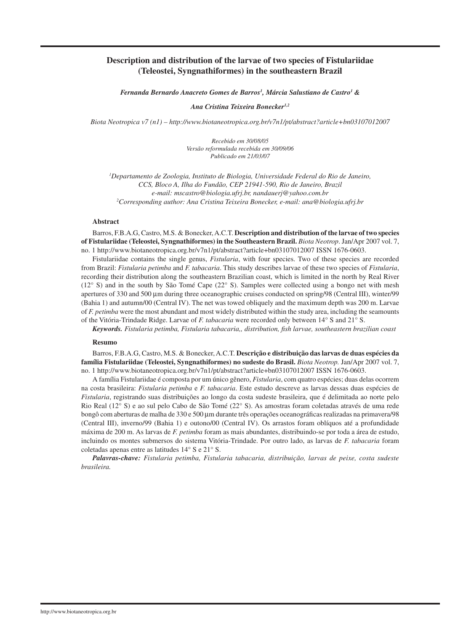# **Description and distribution of the larvae of two species of Fistulariidae (Teleostei, Syngnathiformes) in the southeastern Brazil**

*Fernanda Bernardo Anacreto Gomes de Barros1 , Márcia Salustiano de Castro1 &* 

*Ana Cristina Teixeira Bonecker1,2*

*Biota Neotropica v7 (n1) – http://www.biotaneotropica.org.br/v7n1/pt/abstract?article+bn03107012007*

*Recebido em 30/08/05 Versão reformulada recebida em 30/09/06 Publicado em 21/03/07*

*1 Departamento de Zoologia, Instituto de Biologia, Universidade Federal do Rio de Janeiro, CCS, Bloco A, Ilha do Fundão, CEP 21941-590, Rio de Janeiro, Brazil e-mail: mscastro@biologia.ufrj.br, nandauerj@yahoo.com.br 2 Corresponding author: Ana Cristina Teixeira Bonecker, e-mail: ana@biologia.ufrj.br*

#### **Abstract**

Barros, F.B.A.G, Castro, M.S. & Bonecker, A.C.T. **Description and distribution of the larvae of two species of Fistulariidae (Teleostei, Syngnathiformes) in the Southeastern Brazil.** *Biota Neotrop*. Jan/Apr 2007 vol. 7, no. 1 http://www.biotaneotropica.org.br/v7n1/pt/abstract?article+bn03107012007 ISSN 1676-0603.

Fistulariidae contains the single genus, *Fistularia*, with four species. Two of these species are recorded from Brazil: *Fistularia petimba* and *F. tabacaria*. This study describes larvae of these two species of *Fistularia*, recording their distribution along the southeastern Brazilian coast, which is limited in the north by Real River (12° S) and in the south by São Tomé Cape (22° S). Samples were collected using a bongo net with mesh apertures of 330 and 500 µm during three oceanographic cruises conducted on spring/98 (Central III), winter/99 (Bahia 1) and autumn/00 (Central IV). The net was towed obliquely and the maximum depth was 200 m. Larvae of *F. petimba* were the most abundant and most widely distributed within the study area, including the seamounts of the Vitória-Trindade Ridge. Larvae of *F. tabacaria* were recorded only between 14° S and 21° S.

*Keywords. Fistularia petimba, Fistularia tabacaria,, distribution, fish larvae, southeastern brazilian coast*

#### **Resumo**

Barros, F.B.A.G, Castro, M.S. & Bonecker, A.C.T. **Descrição e distribuição das larvas de duas espécies da família Fistulariidae (Teleostei, Syngnathiformes) no sudeste do Brasil.** *Biota Neotrop.* Jan/Apr 2007 vol. 7, no. 1 http://www.biotaneotropica.org.br/v7n1/pt/abstract?article+bn03107012007 ISSN 1676-0603.

A família Fistulariidae é composta por um único gênero, *Fistularia*, com quatro espécies; duas delas ocorrem na costa brasileira: *Fistularia petimba* e *F. tabacaria*. Este estudo descreve as larvas dessas duas espécies de *Fistularia*, registrando suas distribuições ao longo da costa sudeste brasileira, que é delimitada ao norte pelo Rio Real (12° S) e ao sul pelo Cabo de São Tomé (22° S). As amostras foram coletadas através de uma rede bongô com aberturas de malha de 330 e 500 µm durante três operações oceanográficas realizadas na primavera/98 (Central III), inverno/99 (Bahia 1) e outono/00 (Central IV). Os arrastos foram oblíquos até a profundidade máxima de 200 m. As larvas de *F. petimba* foram as mais abundantes, distribuindo-se por toda a área de estudo, incluindo os montes submersos do sistema Vitória-Trindade. Por outro lado, as larvas de *F. tabacaria* foram coletadas apenas entre as latitudes 14° S e 21° S.

*Palavras-chave: Fistularia petimba, Fistularia tabacaria, distribuição, larvas de peixe, costa sudeste brasileira.*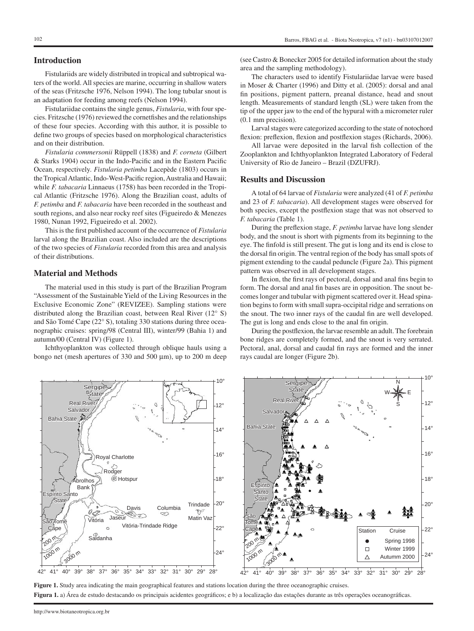### **Introduction**

Fistulariids are widely distributed in tropical and subtropical waters of the world. All species are marine, occurring in shallow waters of the seas (Fritzsche 1976, Nelson 1994). The long tubular snout is an adaptation for feeding among reefs (Nelson 1994).

Fistulariidae contains the single genus, *Fistularia*, with four species. Fritzsche (1976) reviewed the cornetfishes and the relationships of these four species. According with this author, it is possible to define two groups of species based on morphological characteristics and on their distribution.

*Fistularia commersonii* Rüppell (1838) and *F. corneta* (Gilbert & Starks 1904) occur in the Indo-Pacific and in the Eastern Pacific Ocean, respectively. *Fistularia petimba* Lacepède (1803) occurs in the Tropical Atlantic, Indo-West-Pacific region, Australia and Hawaii; while *F. tabacaria* Linnaeus (1758) has been recorded in the Tropical Atlantic (Fritzsche 1976). Along the Brazilian coast, adults of *F. petimba* and *F. tabacaria* have been recorded in the southeast and south regions, and also near rocky reef sites (Figueiredo & Menezes 1980, Nunan 1992, Figueiredo et al. 2002).

This is the first published account of the occurrence of *Fistularia* larval along the Brazilian coast. Also included are the descriptions of the two species of *Fistularia* recorded from this area and analysis of their distributions.

### **Material and Methods**

**Real River** Salvador

**Sergipe State** 

Abrolhos Bank

Bahia State

Espírito Santo State

São Tomé

The material used in this study is part of the Brazilian Program "Assessment of the Sustainable Yield of the Living Resources in the Exclusive Economic Zone" (REVIZEE). Sampling stations were distributed along the Brazilian coast, between Real River (12° S) and São Tomé Cape (22° S), totaling 330 stations during three oceanographic cruises: spring/98 (Central III), winter/99 (Bahia 1) and autumn/00 (Central IV) (Figure 1).

Ichthyoplankton was collected through oblique hauls using a bongo net (mesh apertures of 330 and 500 µm), up to 200 m deep

Royal Charlotte

A

Rodger <sup>◎</sup>Hotspur

 $\circ$ 

Davis Columbia

Vitória-Trindade Ridge

Vitória Jaseur Component Matin Vaz

(see Castro & Bonecker 2005 for detailed information about the study area and the sampling methodology).

The characters used to identify Fistulariidae larvae were based in Moser & Charter (1996) and Ditty et al. (2005): dorsal and anal fin positions, pigment pattern, preanal distance, head and snout length. Measurements of standard length (SL) were taken from the tip of the upper jaw to the end of the hypural with a micrometer ruler (0.1 mm precision).

Larval stages were categorized according to the state of notochord flexion: preflexion, flexion and postflexion stages (Richards, 2006).

All larvae were deposited in the larval fish collection of the Zooplankton and Ichthyoplankton Integrated Laboratory of Federal University of Rio de Janeiro – Brazil (DZUFRJ).

### **Results and Discussion**

A total of 64 larvae of *Fistularia* were analyzed (41 of *F. petimba* and 23 of *F. tabacaria*). All development stages were observed for both species, except the postflexion stage that was not observed to *F. tabacaria* (Table 1).

During the preflexion stage, *F. petimba* larvae have long slender body, and the snout is short with pigments from its beginning to the eye. The finfold is still present. The gut is long and its end is close to the dorsal fin origin. The ventral region of the body has small spots of pigment extending to the caudal peduncle (Figure 2a). This pigment pattern was observed in all development stages.

In flexion, the first rays of pectoral, dorsal and anal fins begin to form. The dorsal and anal fin bases are in opposition. The snout becomes longer and tubular with pigment scattered over it. Head spination begins to form with small supra-occipital ridge and serrations on the snout. The two inner rays of the caudal fin are well developed. The gut is long and ends close to the anal fin origin.

During the postflexion, the larvae resemble an adult. The forebrain bone ridges are completely formed, and the snout is very serrated. Pectoral, anal, dorsal and caudal fin rays are formed and the inner rays caudal are longer (Figure 2b).

10°

N

S W<del>⊰∦⊱</del>E

12°

 $14<sup>°</sup>$ 

16°

18°

20°

鳌

▲ ❤



10°

 $12<sup>°</sup>$ 

 $14^{\circ}$ 

16°

 $-18^\circ$ 

Espírito Santo State

A

Bahia State

**Salvador** 

**Real River** 

**Sergipe State** 

São Tomé

20°

Trindade

**Figura 1.** a) Área de estudo destacando os principais acidentes geográficos; e b) a localização das estações durante as três operações oceanográficas.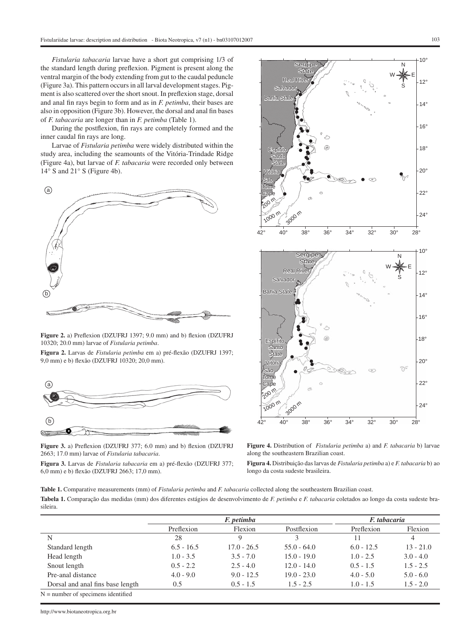*Fistularia tabacaria* larvae have a short gut comprising 1/3 of the standard length during preflexion. Pigment is present along the ventral margin of the body extending from gut to the caudal peduncle (Figure 3a). This pattern occurs in all larval development stages. Pigment is also scattered over the short snout. In preflexion stage, dorsal and anal fin rays begin to form and as in *F. petimba*, their bases are also in opposition (Figure 3b). However, the dorsal and anal fin bases of *F. tabacaria* are longer than in *F. petimba* (Table 1).

During the postflexion, fin rays are completely formed and the inner caudal fin rays are long.

Larvae of *Fistularia petimba* were widely distributed within the study area, including the seamounts of the Vitória-Trindade Ridge (Figure 4a), but larvae of *F. tabacaria* were recorded only between 14° S and 21° S (Figure 4b).



**Figure 2.** a) Preflexion (DZUFRJ 1397; 9.0 mm) and b) flexion (DZUFRJ 10320; 20.0 mm) larvae of *Fistularia petimba*.

**Figura 2.** Larvas de *Fistularia petimba* em a) pré-flexão (DZUFRJ 1397; 9,0 mm) e b) flexão (DZUFRJ 10320; 20,0 mm).



**Figure 3.** a) Preflexion (DZUFRJ 377; 6.0 mm) and b) flexion (DZUFRJ 2663; 17.0 mm) larvae of *Fistularia tabacaria*.

**Figura 3.** Larvas de *Fistularia tabacaria* em a) pré-flexão (DZUFRJ 377; 6,0 mm) e b) flexão (DZUFRJ 2663; 17,0 mm).



**Figure 4.** Distribution of *Fistularia petimba* a) and *F. tabacaria* b) larvae along the southeastern Brazilian coast.

**Figura 4.** Distribuição das larvas de *Fistularia petimba* a) e *F. tabacaria* b) ao longo da costa sudeste brasileira.

**Table 1.** Comparative measurements (mm) of *Fistularia petimba* and *F. tabacaria* collected along the southeastern Brazilian coast. **Tabela 1.** Comparação das medidas (mm) dos diferentes estágios de desenvolvimento de *F. petimba* e *F. tabacaria* coletados ao longo da costa sudeste brasileira.

|                                  | F. petimba   |               |               | F. tabacaria |             |
|----------------------------------|--------------|---------------|---------------|--------------|-------------|
|                                  | Preflexion   | Flexion       | Postflexion   | Preflexion   | Flexion     |
| N                                | 28           |               |               |              | 4           |
| Standard length                  | $6.5 - 16.5$ | $17.0 - 26.5$ | $55.0 - 64.0$ | $6.0 - 12.5$ | $13 - 21.0$ |
| Head length                      | $1.0 - 3.5$  | $3.5 - 7.0$   | $15.0 - 19.0$ | $1.0 - 2.5$  | $3.0 - 4.0$ |
| Snout length                     | $0.5 - 2.2$  | $2.5 - 4.0$   | $12.0 - 14.0$ | $0.5 - 1.5$  | $1.5 - 2.5$ |
| Pre-anal distance                | $4.0 - 9.0$  | $9.0 - 12.5$  | $19.0 - 23.0$ | $4.0 - 5.0$  | $5.0 - 6.0$ |
| Dorsal and anal fins base length | 0.5          | $0.5 - 1.5$   | $1.5 - 2.5$   | $1.0 - 1.5$  | $1.5 - 2.0$ |